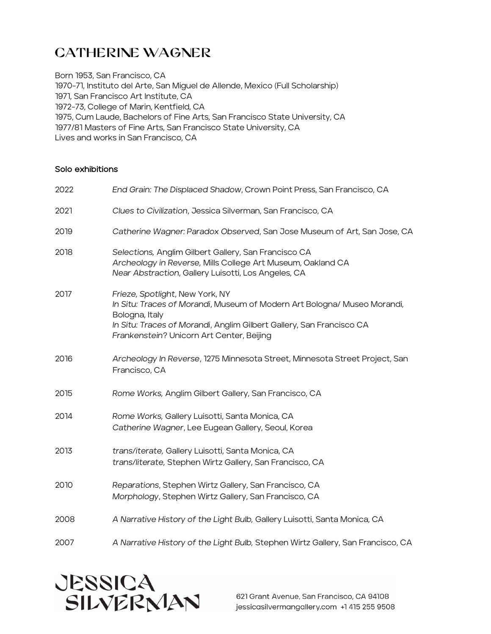# CATHErINE WAGNEr

Born 1953, San Francisco, CA 1970-71, Instituto del Arte, San Miguel de Allende, Mexico (Full Scholarship) 1971, San Francisco Art Institute, CA 1972-73, College of Marin, Kentfield, CA 1975, Cum Laude, Bachelors of Fine Arts, San Francisco State University, CA 1977/81 Masters of Fine Arts, San Francisco State University, CA Lives and works in San Francisco, CA

#### Solo exhibitions

| 2022 | End Grain: The Displaced Shadow, Crown Point Press, San Francisco, CA                                                                                                                                                                              |
|------|----------------------------------------------------------------------------------------------------------------------------------------------------------------------------------------------------------------------------------------------------|
| 2021 | Clues to Civilization, Jessica Silverman, San Francisco, CA                                                                                                                                                                                        |
| 2019 | Catherine Wagner: Paradox Observed, San Jose Museum of Art, San Jose, CA                                                                                                                                                                           |
| 2018 | Selections, Anglim Gilbert Gallery, San Francisco CA<br>Archeology in Reverse, Mills College Art Museum, Oakland CA<br>Near Abstraction, Gallery Luisotti, Los Angeles, CA                                                                         |
| 2017 | Frieze, Spotlight, New York, NY<br>In Situ: Traces of Morandi, Museum of Modern Art Bologna/ Museo Morandi,<br>Bologna, Italy<br>In Situ: Traces of Morandi, Anglim Gilbert Gallery, San Francisco CA<br>Frankenstein? Unicorn Art Center, Beijing |
| 2016 | Archeology In Reverse, 1275 Minnesota Street, Minnesota Street Project, San<br>Francisco, CA                                                                                                                                                       |
| 2015 | Rome Works, Anglim Gilbert Gallery, San Francisco, CA                                                                                                                                                                                              |
| 2014 | Rome Works, Gallery Luisotti, Santa Monica, CA<br>Catherine Wagner, Lee Eugean Gallery, Seoul, Korea                                                                                                                                               |
| 2013 | trans/iterate, Gallery Luisotti, Santa Monica, CA<br>trans/literate, Stephen Wirtz Gallery, San Francisco, CA                                                                                                                                      |
| 2010 | Reparations, Stephen Wirtz Gallery, San Francisco, CA<br>Morphology, Stephen Wirtz Gallery, San Francisco, CA                                                                                                                                      |
| 2008 | A Narrative History of the Light Bulb, Gallery Luisotti, Santa Monica, CA                                                                                                                                                                          |
| 2007 | A Narrative History of the Light Bulb, Stephen Wirtz Gallery, San Francisco, CA                                                                                                                                                                    |



621 Grant Avenue, San Francisco, CA 94108 jessicasilvermangallery.com +1 415 255 9508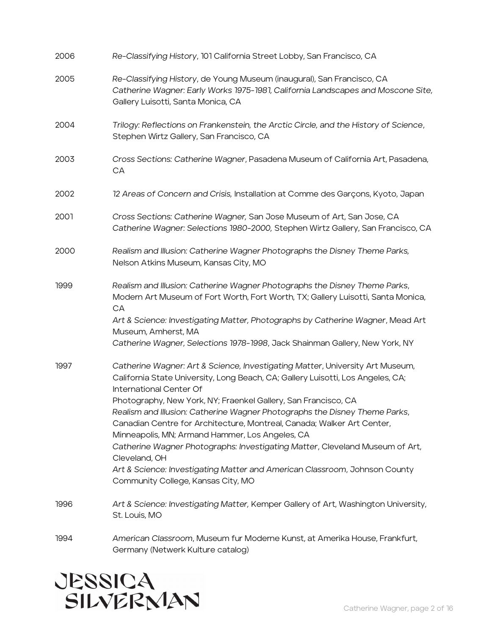| 2006 | Re-Classifying History, 101 California Street Lobby, San Francisco, CA                                                                                                                                                                                                                                                                                                                                                                                                                                                                                                                                                                                                                        |
|------|-----------------------------------------------------------------------------------------------------------------------------------------------------------------------------------------------------------------------------------------------------------------------------------------------------------------------------------------------------------------------------------------------------------------------------------------------------------------------------------------------------------------------------------------------------------------------------------------------------------------------------------------------------------------------------------------------|
| 2005 | Re-Classifying History, de Young Museum (inaugural), San Francisco, CA<br>Catherine Wagner: Early Works 1975-1981, California Landscapes and Moscone Site,<br>Gallery Luisotti, Santa Monica, CA                                                                                                                                                                                                                                                                                                                                                                                                                                                                                              |
| 2004 | Trilogy: Reflections on Frankenstein, the Arctic Circle, and the History of Science,<br>Stephen Wirtz Gallery, San Francisco, CA                                                                                                                                                                                                                                                                                                                                                                                                                                                                                                                                                              |
| 2003 | Cross Sections: Catherine Wagner, Pasadena Museum of California Art, Pasadena,<br>CA                                                                                                                                                                                                                                                                                                                                                                                                                                                                                                                                                                                                          |
| 2002 | 12 Areas of Concern and Crisis, Installation at Comme des Garçons, Kyoto, Japan                                                                                                                                                                                                                                                                                                                                                                                                                                                                                                                                                                                                               |
| 2001 | Cross Sections: Catherine Wagner, San Jose Museum of Art, San Jose, CA<br>Catherine Wagner: Selections 1980-2000, Stephen Wirtz Gallery, San Francisco, CA                                                                                                                                                                                                                                                                                                                                                                                                                                                                                                                                    |
| 2000 | Realism and Illusion: Catherine Wagner Photographs the Disney Theme Parks,<br>Nelson Atkins Museum, Kansas City, MO                                                                                                                                                                                                                                                                                                                                                                                                                                                                                                                                                                           |
| 1999 | Realism and Illusion: Catherine Wagner Photographs the Disney Theme Parks,<br>Modern Art Museum of Fort Worth, Fort Worth, TX; Gallery Luisotti, Santa Monica,<br>CA<br>Art & Science: Investigating Matter, Photographs by Catherine Wagner, Mead Art<br>Museum, Amherst, MA<br>Catherine Wagner, Selections 1978-1998, Jack Shainman Gallery, New York, NY                                                                                                                                                                                                                                                                                                                                  |
| 1997 | Catherine Wagner: Art & Science, Investigating Matter, University Art Museum,<br>California State University, Long Beach, CA; Gallery Luisotti, Los Angeles, CA;<br>International Center Of<br>Photography, New York, NY; Fraenkel Gallery, San Francisco, CA<br>Realism and Illusion: Catherine Wagner Photographs the Disney Theme Parks,<br>Canadian Centre for Architecture, Montreal, Canada; Walker Art Center,<br>Minneapolis, MN; Armand Hammer, Los Angeles, CA<br>Catherine Wagner Photographs: Investigating Matter, Cleveland Museum of Art,<br>Cleveland, OH<br>Art & Science: Investigating Matter and American Classroom, Johnson County<br>Community College, Kansas City, MO |
| 1996 | Art & Science: Investigating Matter, Kemper Gallery of Art, Washington University,<br>St. Louis, MO                                                                                                                                                                                                                                                                                                                                                                                                                                                                                                                                                                                           |
| 1994 | American Classroom, Museum fur Moderne Kunst, at Amerika House, Frankfurt,<br>Germany (Netwerk Kulture catalog)                                                                                                                                                                                                                                                                                                                                                                                                                                                                                                                                                                               |

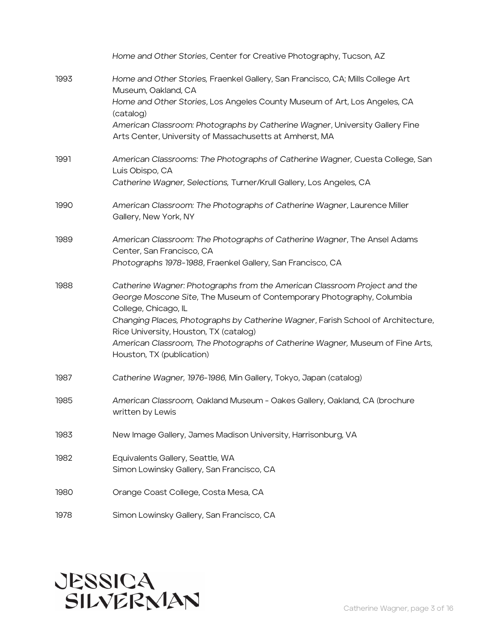|      | Home and Other Stories, Center for Creative Photography, Tucson, AZ                                                                                                        |
|------|----------------------------------------------------------------------------------------------------------------------------------------------------------------------------|
| 1993 | Home and Other Stories, Fraenkel Gallery, San Francisco, CA; Mills College Art<br>Museum, Oakland, CA                                                                      |
|      | Home and Other Stories, Los Angeles County Museum of Art, Los Angeles, CA<br>(catalog)                                                                                     |
|      | American Classroom: Photographs by Catherine Wagner, University Gallery Fine<br>Arts Center, University of Massachusetts at Amherst, MA                                    |
| 1991 | American Classrooms: The Photographs of Catherine Wagner, Cuesta College, San<br>Luis Obispo, CA                                                                           |
|      | Catherine Wagner, Selections, Turner/Krull Gallery, Los Angeles, CA                                                                                                        |
| 1990 | American Classroom: The Photographs of Catherine Wagner, Laurence Miller<br>Gallery, New York, NY                                                                          |
| 1989 | American Classroom: The Photographs of Catherine Wagner, The Ansel Adams<br>Center, San Francisco, CA                                                                      |
|      | Photographs 1978-1988, Fraenkel Gallery, San Francisco, CA                                                                                                                 |
| 1988 | Catherine Wagner: Photographs from the American Classroom Project and the<br>George Moscone Site, The Museum of Contemporary Photography, Columbia<br>College, Chicago, IL |
|      | Changing Places, Photographs by Catherine Wagner, Farish School of Architecture,<br>Rice University, Houston, TX (catalog)                                                 |
|      | American Classroom, The Photographs of Catherine Wagner, Museum of Fine Arts,<br>Houston, TX (publication)                                                                 |
| 1987 | Catherine Wagner, 1976-1986, Min Gallery, Tokyo, Japan (catalog)                                                                                                           |
| 1985 | American Classroom, Oakland Museum - Oakes Gallery, Oakland, CA (brochure<br>written by Lewis                                                                              |
| 1983 | New Image Gallery, James Madison University, Harrisonburg, VA                                                                                                              |
| 1982 | Equivalents Gallery, Seattle, WA<br>Simon Lowinsky Gallery, San Francisco, CA                                                                                              |
| 1980 | Orange Coast College, Costa Mesa, CA                                                                                                                                       |
| 1978 | Simon Lowinsky Gallery, San Francisco, CA                                                                                                                                  |

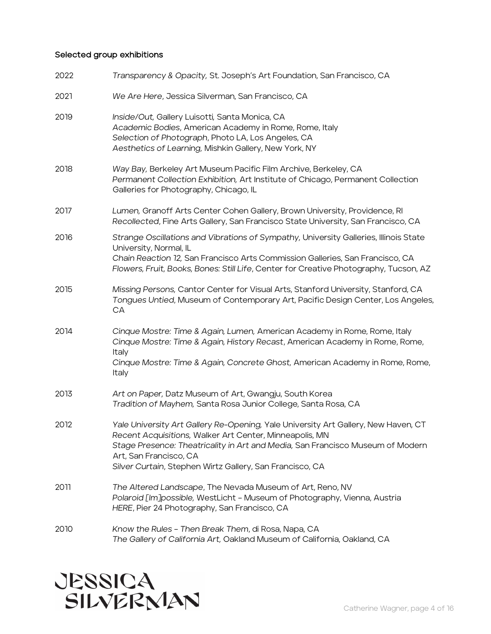### Selected group exhibitions

| 2022 | Transparency & Opacity, St. Joseph's Art Foundation, San Francisco, CA                                                                                                                                                                                                                                                |
|------|-----------------------------------------------------------------------------------------------------------------------------------------------------------------------------------------------------------------------------------------------------------------------------------------------------------------------|
| 2021 | We Are Here, Jessica Silverman, San Francisco, CA                                                                                                                                                                                                                                                                     |
| 2019 | Inside/Out, Gallery Luisotti, Santa Monica, CA<br>Academic Bodies, American Academy in Rome, Rome, Italy<br>Selection of Photograph, Photo LA, Los Angeles, CA<br>Aesthetics of Learning, Mishkin Gallery, New York, NY                                                                                               |
| 2018 | Way Bay, Berkeley Art Museum Pacific Film Archive, Berkeley, CA<br>Permanent Collection Exhibition, Art Institute of Chicago, Permanent Collection<br>Galleries for Photography, Chicago, IL                                                                                                                          |
| 2017 | Lumen, Granoff Arts Center Cohen Gallery, Brown University, Providence, RI<br>Recollected, Fine Arts Gallery, San Francisco State University, San Francisco, CA                                                                                                                                                       |
| 2016 | Strange Oscillations and Vibrations of Sympathy, University Galleries, Illinois State<br>University, Normal, IL<br>Chain Reaction 12, San Francisco Arts Commission Galleries, San Francisco, CA<br>Flowers, Fruit, Books, Bones: Still Life, Center for Creative Photography, Tucson, AZ                             |
| 2015 | Missing Persons, Cantor Center for Visual Arts, Stanford University, Stanford, CA<br>Tongues Untied, Museum of Contemporary Art, Pacific Design Center, Los Angeles,<br>CA                                                                                                                                            |
| 2014 | Cinque Mostre: Time & Again, Lumen, American Academy in Rome, Rome, Italy<br>Cinque Mostre: Time & Again, History Recast, American Academy in Rome, Rome,<br>Italy<br>Cinque Mostre: Time & Again, Concrete Ghost, American Academy in Rome, Rome,<br>Italy                                                           |
| 2013 | Art on Paper, Datz Museum of Art, Gwangju, South Korea<br>Tradition of Mayhem, Santa Rosa Junior College, Santa Rosa, CA                                                                                                                                                                                              |
| 2012 | Yale University Art Gallery Re-Opening, Yale University Art Gallery, New Haven, CT<br>Recent Acquisitions, Walker Art Center, Minneapolis, MN<br>Stage Presence: Theatricality in Art and Media, San Francisco Museum of Modern<br>Art, San Francisco, CA<br>Silver Curtain, Stephen Wirtz Gallery, San Francisco, CA |
| 2011 | The Altered Landscape, The Nevada Museum of Art, Reno, NV<br>Polaroid [Im]possible, WestLicht - Museum of Photography, Vienna, Austria<br>HERE, Pier 24 Photography, San Francisco, CA                                                                                                                                |
| 2010 | Know the Rules - Then Break Them, di Rosa, Napa, CA<br>The Gallery of California Art, Oakland Museum of California, Oakland, CA                                                                                                                                                                                       |

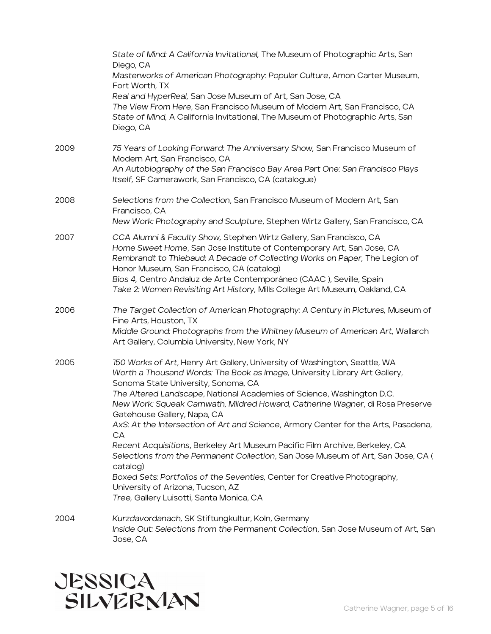|      | State of Mind: A California Invitational, The Museum of Photographic Arts, San<br>Diego, CA<br>Masterworks of American Photography: Popular Culture, Amon Carter Museum,<br>Fort Worth, TX<br>Real and HyperReal, San Jose Museum of Art, San Jose, CA<br>The View From Here, San Francisco Museum of Modern Art, San Francisco, CA<br>State of Mind, A California Invitational, The Museum of Photographic Arts, San<br>Diego, CA                                                                                                                                                                                                                                                                                                                                                                                                |
|------|-----------------------------------------------------------------------------------------------------------------------------------------------------------------------------------------------------------------------------------------------------------------------------------------------------------------------------------------------------------------------------------------------------------------------------------------------------------------------------------------------------------------------------------------------------------------------------------------------------------------------------------------------------------------------------------------------------------------------------------------------------------------------------------------------------------------------------------|
| 2009 | 75 Years of Looking Forward: The Anniversary Show, San Francisco Museum of<br>Modern Art, San Francisco, CA<br>An Autobiography of the San Francisco Bay Area Part One: San Francisco Plays<br>Itself, SF Camerawork, San Francisco, CA (catalogue)                                                                                                                                                                                                                                                                                                                                                                                                                                                                                                                                                                               |
| 2008 | Selections from the Collection, San Francisco Museum of Modern Art, San<br>Francisco, CA<br>New Work: Photography and Sculpture, Stephen Wirtz Gallery, San Francisco, CA                                                                                                                                                                                                                                                                                                                                                                                                                                                                                                                                                                                                                                                         |
| 2007 | CCA Alumni & Faculty Show, Stephen Wirtz Gallery, San Francisco, CA<br>Home Sweet Home, San Jose Institute of Contemporary Art, San Jose, CA<br>Rembrandt to Thiebaud: A Decade of Collecting Works on Paper, The Legion of<br>Honor Museum, San Francisco, CA (catalog)<br>Bios 4, Centro Andaluz de Arte Contemporáneo (CAAC), Seville, Spain<br>Take 2: Women Revisiting Art History, Mills College Art Museum, Oakland, CA                                                                                                                                                                                                                                                                                                                                                                                                    |
| 2006 | The Target Collection of American Photography: A Century in Pictures, Museum of<br>Fine Arts, Houston, TX<br>Middle Ground: Photographs from the Whitney Museum of American Art, Wallarch<br>Art Gallery, Columbia University, New York, NY                                                                                                                                                                                                                                                                                                                                                                                                                                                                                                                                                                                       |
| 2005 | 150 Works of Art, Henry Art Gallery, University of Washington, Seattle, WA<br>Worth a Thousand Words: The Book as Image, University Library Art Gallery,<br>Sonoma State University, Sonoma, CA<br>The Altered Landscape, National Academies of Science, Washington D.C.<br>New Work: Squeak Carnwath, Mildred Howard, Catherine Wagner, di Rosa Preserve<br>Gatehouse Gallery, Napa, CA<br>AxS: At the Intersection of Art and Science, Armory Center for the Arts, Pasadena,<br>CА<br>Recent Acquisitions, Berkeley Art Museum Pacific Film Archive, Berkeley, CA<br>Selections from the Permanent Collection, San Jose Museum of Art, San Jose, CA (<br>catalog)<br>Boxed Sets: Portfolios of the Seventies, Center for Creative Photography,<br>University of Arizona, Tucson, AZ<br>Tree, Gallery Luisotti, Santa Monica, CA |
| 2004 | Kurzdavordanach, SK Stiftungkultur, Koln, Germany<br>Inside Out: Selections from the Permanent Collection, San Jose Museum of Art, San<br>Jose, CA                                                                                                                                                                                                                                                                                                                                                                                                                                                                                                                                                                                                                                                                                |

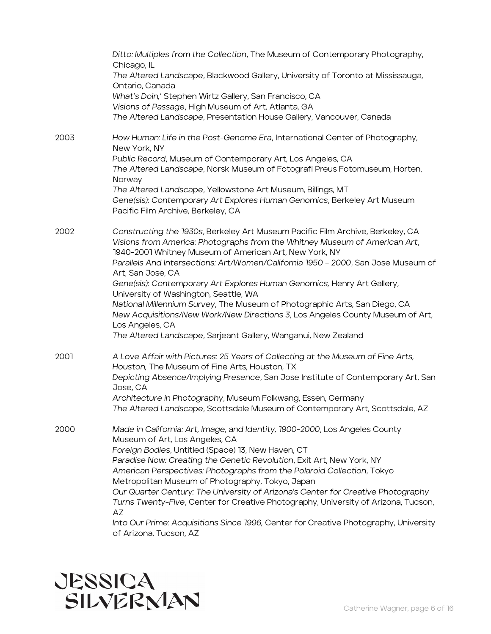|      | Ditto: Multiples from the Collection, The Museum of Contemporary Photography,<br>Chicago, IL                                                                                                                           |
|------|------------------------------------------------------------------------------------------------------------------------------------------------------------------------------------------------------------------------|
|      | The Altered Landscape, Blackwood Gallery, University of Toronto at Mississauga,<br>Ontario, Canada                                                                                                                     |
|      | What's Doin,' Stephen Wirtz Gallery, San Francisco, CA                                                                                                                                                                 |
|      | Visions of Passage, High Museum of Art, Atlanta, GA                                                                                                                                                                    |
|      | The Altered Landscape, Presentation House Gallery, Vancouver, Canada                                                                                                                                                   |
| 2003 | How Human: Life in the Post-Genome Era, International Center of Photography,<br>New York, NY                                                                                                                           |
|      | Public Record, Museum of Contemporary Art, Los Angeles, CA                                                                                                                                                             |
|      | The Altered Landscape, Norsk Museum of Fotografi Preus Fotomuseum, Horten,<br>Norway                                                                                                                                   |
|      | The Altered Landscape, Yellowstone Art Museum, Billings, MT                                                                                                                                                            |
|      | Gene(sis): Contemporary Art Explores Human Genomics, Berkeley Art Museum<br>Pacific Film Archive, Berkeley, CA                                                                                                         |
| 2002 | Constructing the 1930s, Berkeley Art Museum Pacific Film Archive, Berkeley, CA<br>Visions from America: Photographs from the Whitney Museum of American Art,<br>1940-2001 Whitney Museum of American Art, New York, NY |
|      | Parallels And Intersections: Art/Women/California 1950 - 2000, San Jose Museum of                                                                                                                                      |
|      | Art, San Jose, CA<br>Gene(sis): Contemporary Art Explores Human Genomics, Henry Art Gallery,                                                                                                                           |
|      | University of Washington, Seattle, WA                                                                                                                                                                                  |
|      | National Millennium Survey, The Museum of Photographic Arts, San Diego, CA<br>New Acquisitions/New Work/New Directions 3, Los Angeles County Museum of Art,<br>Los Angeles, CA                                         |
|      | The Altered Landscape, Sarjeant Gallery, Wanganui, New Zealand                                                                                                                                                         |
| 2001 | A Love Affair with Pictures: 25 Years of Collecting at the Museum of Fine Arts,<br>Houston, The Museum of Fine Arts, Houston, TX                                                                                       |
|      | Depicting Absence/Implying Presence, San Jose Institute of Contemporary Art, San<br>Jose, CA                                                                                                                           |
|      | Architecture in Photography, Museum Folkwang, Essen, Germany                                                                                                                                                           |
|      | The Altered Landscape, Scottsdale Museum of Contemporary Art, Scottsdale, AZ                                                                                                                                           |
| 2000 | Made in California: Art, Image, and Identity, 1900-2000, Los Angeles County<br>Museum of Art, Los Angeles, CA                                                                                                          |
|      | Foreign Bodies, Untitled (Space) 13, New Haven, CT                                                                                                                                                                     |
|      | Paradise Now: Creating the Genetic Revolution, Exit Art, New York, NY                                                                                                                                                  |
|      | American Perspectives: Photographs from the Polaroid Collection, Tokyo                                                                                                                                                 |
|      | Metropolitan Museum of Photography, Tokyo, Japan                                                                                                                                                                       |
|      | Our Quarter Century: The University of Arizona's Center for Creative Photography                                                                                                                                       |
|      | Turns Twenty-Five, Center for Creative Photography, University of Arizona, Tucson,<br>AZ                                                                                                                               |
|      | Into Our Prime: Acquisitions Since 1996, Center for Creative Photography, University<br>of Arizona, Tucson, AZ                                                                                                         |

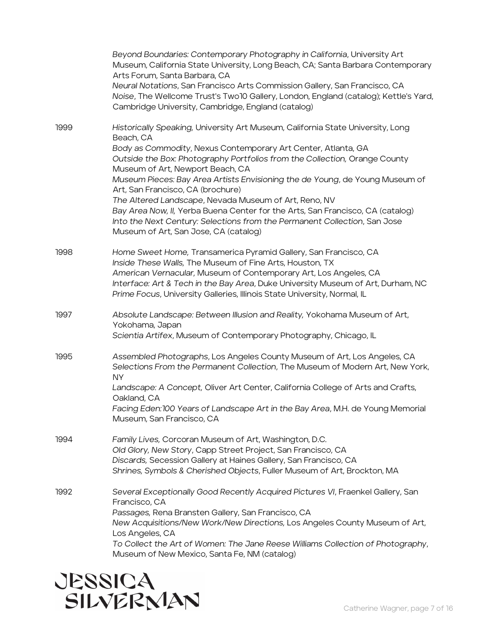|      | Beyond Boundaries: Contemporary Photography in California, University Art<br>Museum, California State University, Long Beach, CA; Santa Barbara Contemporary<br>Arts Forum, Santa Barbara, CA                                                                                                                                                                    |
|------|------------------------------------------------------------------------------------------------------------------------------------------------------------------------------------------------------------------------------------------------------------------------------------------------------------------------------------------------------------------|
|      | Neural Notations, San Francisco Arts Commission Gallery, San Francisco, CA<br>Noise, The Wellcome Trust's Two10 Gallery, London, England (catalog); Kettle's Yard,<br>Cambridge University, Cambridge, England (catalog)                                                                                                                                         |
| 1999 | Historically Speaking, University Art Museum, California State University, Long<br>Beach, CA                                                                                                                                                                                                                                                                     |
|      | Body as Commodity, Nexus Contemporary Art Center, Atlanta, GA<br>Outside the Box: Photography Portfolios from the Collection, Orange County<br>Museum of Art, Newport Beach, CA                                                                                                                                                                                  |
|      | Museum Pieces: Bay Area Artists Envisioning the de Young, de Young Museum of<br>Art, San Francisco, CA (brochure)                                                                                                                                                                                                                                                |
|      | The Altered Landscape, Nevada Museum of Art, Reno, NV<br>Bay Area Now, II, Yerba Buena Center for the Arts, San Francisco, CA (catalog)<br>Into the Next Century: Selections from the Permanent Collection, San Jose<br>Museum of Art, San Jose, CA (catalog)                                                                                                    |
| 1998 | Home Sweet Home, Transamerica Pyramid Gallery, San Francisco, CA<br>Inside These Walls, The Museum of Fine Arts, Houston, TX<br>American Vernacular, Museum of Contemporary Art, Los Angeles, CA<br>Interface: Art & Tech in the Bay Area, Duke University Museum of Art, Durham, NC<br>Prime Focus, University Galleries, Illinois State University, Normal, IL |
| 1997 | Absolute Landscape: Between Illusion and Reality, Yokohama Museum of Art,<br>Yokohama, Japan                                                                                                                                                                                                                                                                     |
|      | Scientia Artifex, Museum of Contemporary Photography, Chicago, IL                                                                                                                                                                                                                                                                                                |
| 1995 | Assembled Photographs, Los Angeles County Museum of Art, Los Angeles, CA<br>Selections From the Permanent Collection, The Museum of Modern Art, New York,<br><b>NY</b>                                                                                                                                                                                           |
|      | Landscape: A Concept, Oliver Art Center, California College of Arts and Crafts,<br>Oakland, CA                                                                                                                                                                                                                                                                   |
|      | Facing Eden: 100 Years of Landscape Art in the Bay Area, M.H. de Young Memorial<br>Museum, San Francisco, CA                                                                                                                                                                                                                                                     |
| 1994 | Family Lives, Corcoran Museum of Art, Washington, D.C.<br>Old Glory, New Story, Capp Street Project, San Francisco, CA<br>Discards, Secession Gallery at Haines Gallery, San Francisco, CA                                                                                                                                                                       |
|      | Shrines, Symbols & Cherished Objects, Fuller Museum of Art, Brockton, MA                                                                                                                                                                                                                                                                                         |
| 1992 | Several Exceptionally Good Recently Acquired Pictures VI, Fraenkel Gallery, San<br>Francisco, CA                                                                                                                                                                                                                                                                 |
|      | Passages, Rena Bransten Gallery, San Francisco, CA<br>New Acquisitions/New Work/New Directions, Los Angeles County Museum of Art,<br>Los Angeles, CA                                                                                                                                                                                                             |
|      | To Collect the Art of Women: The Jane Reese Williams Collection of Photography,<br>Museum of New Mexico, Santa Fe, NM (catalog)                                                                                                                                                                                                                                  |

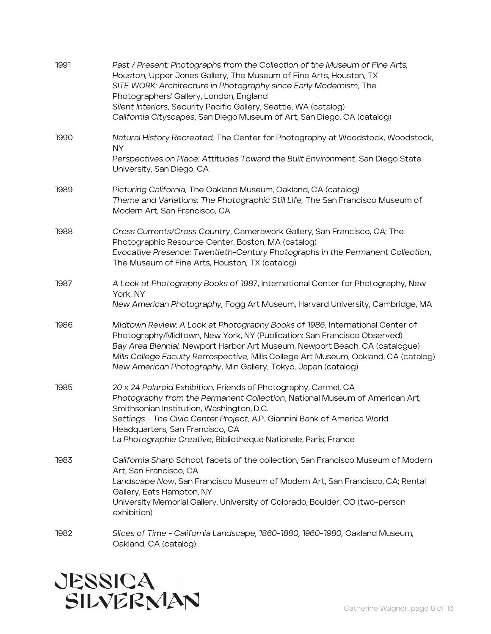| 1991 | Past / Present: Photographs from the Collection of the Museum of Fine Arts,<br>Houston, Upper Jones Gallery, The Museum of Fine Arts, Houston, TX<br>SITE WORK: Architecture in Photography since Early Modernism, The<br>Photographers' Gallery, London, England<br>Silent Interiors, Security Pacific Gallery, Seattle, WA (catalog)<br>California Cityscapes, San Diego Museum of Art, San Diego, CA (catalog) |
|------|-------------------------------------------------------------------------------------------------------------------------------------------------------------------------------------------------------------------------------------------------------------------------------------------------------------------------------------------------------------------------------------------------------------------|
| 1990 | Natural History Recreated, The Center for Photography at Woodstock, Woodstock,<br><b>NY</b>                                                                                                                                                                                                                                                                                                                       |
|      | Perspectives on Place: Attitudes Toward the Built Environment, San Diego State<br>University, San Diego, CA                                                                                                                                                                                                                                                                                                       |
| 1989 | Picturing California, The Oakland Museum, Oakland, CA (catalog)<br>Theme and Variations: The Photographic Still Life, The San Francisco Museum of<br>Modern Art, San Francisco, CA                                                                                                                                                                                                                                |
| 1988 | Cross Currents/Cross Country, Camerawork Gallery, San Francisco, CA; The<br>Photographic Resource Center, Boston, MA (catalog)<br>Evocative Presence: Twentieth-Century Photographs in the Permanent Collection,<br>The Museum of Fine Arts, Houston, TX (catalog)                                                                                                                                                |
| 1987 | A Look at Photography Books of 1987, International Center for Photography, New<br>York, NY<br>New American Photography, Fogg Art Museum, Harvard University, Cambridge, MA                                                                                                                                                                                                                                        |
| 1986 | Midtown Review: A Look at Photography Books of 1986, International Center of<br>Photography/Midtown, New York, NY (Publication: San Francisco Observed)<br>Bay Area Biennial, Newport Harbor Art Museum, Newport Beach, CA (catalogue)<br>Mills College Faculty Retrospective, Mills College Art Museum, Oakland, CA (catalog)<br>New American Photography, Min Gallery, Tokyo, Japan (catalog)                   |
| 1985 | 20 x 24 Polaroid Exhibition, Friends of Photography, Carmel, CA<br>Photography from the Permanent Collection, National Museum of American Art,<br>Smithsonian Institution, Washington, D.C.<br>Settings - The Civic Center Project, A.P. Giannini Bank of America World<br>Headquarters, San Francisco, CA<br>La Photographie Creative, Bibliotheque Nationale, Paris, France                                     |
| 1983 | California Sharp School, facets of the collection, San Francisco Museum of Modern<br>Art, San Francisco, CA<br>Landscape Now, San Francisco Museum of Modern Art, San Francisco, CA; Rental<br>Gallery, Eats Hampton, NY<br>University Memorial Gallery, University of Colorado, Boulder, CO (two-person<br>exhibition)                                                                                           |
| 1982 | Slices of Time - California Landscape, 1860-1880, 1960-1980, Oakland Museum,<br>Oakland, CA (catalog)                                                                                                                                                                                                                                                                                                             |

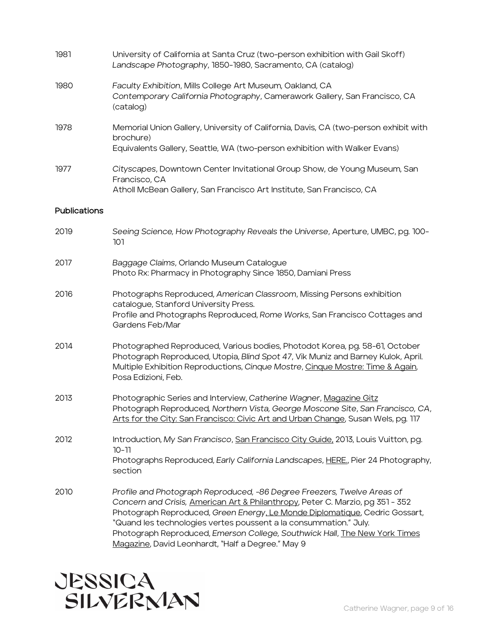| 1981         | University of California at Santa Cruz (two-person exhibition with Gail Skoff)<br>Landscape Photography, 1850-1980, Sacramento, CA (catalog)                                                                                                                                                                                                                                                |
|--------------|---------------------------------------------------------------------------------------------------------------------------------------------------------------------------------------------------------------------------------------------------------------------------------------------------------------------------------------------------------------------------------------------|
| 1980         | Faculty Exhibition, Mills College Art Museum, Oakland, CA<br>Contemporary California Photography, Camerawork Gallery, San Francisco, CA<br>(catalog)                                                                                                                                                                                                                                        |
| 1978         | Memorial Union Gallery, University of California, Davis, CA (two-person exhibit with<br>brochure)<br>Equivalents Gallery, Seattle, WA (two-person exhibition with Walker Evans)                                                                                                                                                                                                             |
| 1977         | Cityscapes, Downtown Center Invitational Group Show, de Young Museum, San<br>Francisco, CA<br>Atholl McBean Gallery, San Francisco Art Institute, San Francisco, CA                                                                                                                                                                                                                         |
| Publications |                                                                                                                                                                                                                                                                                                                                                                                             |
| 2019         | Seeing Science, How Photography Reveals the Universe, Aperture, UMBC, pg. 100-<br>101                                                                                                                                                                                                                                                                                                       |
| 2017         | Baggage Claims, Orlando Museum Catalogue<br>Photo Rx: Pharmacy in Photography Since 1850, Damiani Press                                                                                                                                                                                                                                                                                     |
| 2016         | Photographs Reproduced, American Classroom, Missing Persons exhibition<br>catalogue, Stanford University Press.<br>Profile and Photographs Reproduced, Rome Works, San Francisco Cottages and<br>Gardens Feb/Mar                                                                                                                                                                            |
| 2014         | Photographed Reproduced, Various bodies, Photodot Korea, pg. 58-61, October<br>Photograph Reproduced, Utopia, Blind Spot 47, Vik Muniz and Barney Kulok, April.<br>Multiple Exhibition Reproductions, Cinque Mostre, Cinque Mostre: Time & Again,<br>Posa Edizioni, Feb.                                                                                                                    |
| 2013         | Photographic Series and Interview, Catherine Wagner, Magazine Gitz<br>Photograph Reproduced, Northern Vista, George Moscone Site, San Francisco, CA,<br>Arts for the City: San Francisco: Civic Art and Urban Change, Susan Wels, pg. 117                                                                                                                                                   |
| 2012         | Introduction, My San Francisco, San Francisco City Guide, 2013, Louis Vuitton, pg.<br>10-11<br>Photographs Reproduced, Early California Landscapes, HERE., Pier 24 Photography,<br>section                                                                                                                                                                                                  |
| 2010         | Profile and Photograph Reproduced, -86 Degree Freezers, Twelve Areas of<br>Concern and Crisis, American Art & Philanthropy, Peter C. Marzio, pg 351 - 352<br>Photograph Reproduced, Green Energy, Le Monde Diplomatique, Cedric Gossart,<br>"Quand les technologies vertes poussent a la consummation." July.<br>Photograph Reproduced, Emerson College, Southwick Hall, The New York Times |

Magazine, David Leonhardt, "Half a Degree." May 9

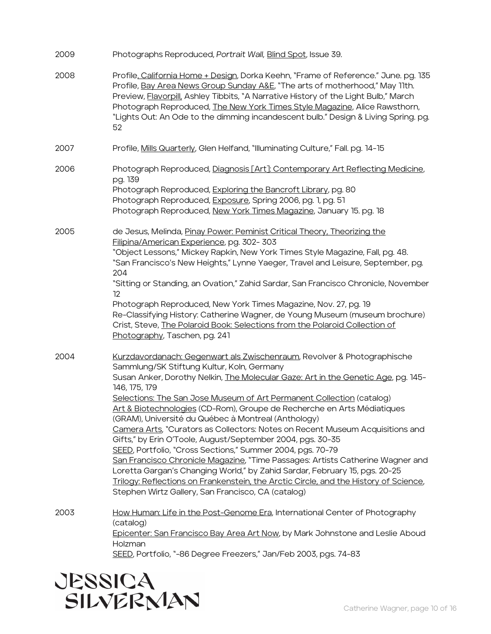| 2009 | Photographs Reproduced, Portrait Wall, Blind Spot, Issue 39.                                                                                                                                                                                                                                                                                                                                                                                                                                                                                                                                                                                                                                                                                                                                                                                                                                                                                                              |
|------|---------------------------------------------------------------------------------------------------------------------------------------------------------------------------------------------------------------------------------------------------------------------------------------------------------------------------------------------------------------------------------------------------------------------------------------------------------------------------------------------------------------------------------------------------------------------------------------------------------------------------------------------------------------------------------------------------------------------------------------------------------------------------------------------------------------------------------------------------------------------------------------------------------------------------------------------------------------------------|
| 2008 | Profile, California Home + Design, Dorka Keehn, "Frame of Reference." June. pg. 135<br>Profile, Bay Area News Group Sunday A&E, "The arts of motherhood," May 11th.<br>Preview, Flavorpill, Ashley Tibbits, "A Narrative History of the Light Bulb," March<br>Photograph Reproduced, The New York Times Style Magazine, Alice Rawsthorn,<br>"Lights Out: An Ode to the dimming incandescent bulb." Design & Living Spring. pg.<br>52                                                                                                                                                                                                                                                                                                                                                                                                                                                                                                                                      |
| 2007 | Profile, Mills Quarterly, Glen Helfand, "Illuminating Culture," Fall. pg. 14-15                                                                                                                                                                                                                                                                                                                                                                                                                                                                                                                                                                                                                                                                                                                                                                                                                                                                                           |
| 2006 | Photograph Reproduced, Diagnosis [Art]: Contemporary Art Reflecting Medicine,<br>pg. 139<br>Photograph Reproduced, Exploring the Bancroft Library, pg. 80<br>Photograph Reproduced, Exposure, Spring 2006, pg. 1, pg. 51<br>Photograph Reproduced, New York Times Magazine, January 15. pg. 18                                                                                                                                                                                                                                                                                                                                                                                                                                                                                                                                                                                                                                                                            |
| 2005 | de Jesus, Melinda, Pinay Power: Peminist Critical Theory, Theorizing the<br>Filipina/American Experience, pg. 302-303<br>"Object Lessons," Mickey Rapkin, New York Times Style Magazine, Fall, pg. 48.<br>"San Francisco's New Heights," Lynne Yaeger, Travel and Leisure, September, pg.<br>204<br>"Sitting or Standing, an Ovation," Zahid Sardar, San Francisco Chronicle, November<br>12<br>Photograph Reproduced, New York Times Magazine, Nov. 27, pg. 19<br>Re-Classifying History: Catherine Wagner, de Young Museum (museum brochure)<br>Crist, Steve, The Polaroid Book: Selections from the Polaroid Collection of<br>Photography, Taschen, pg. 241                                                                                                                                                                                                                                                                                                            |
| 2004 | Kurzdavordanach: Gegenwart als Zwischenraum, Revolver & Photographische<br>Sammlung/SK Stiftung Kultur, Koln, Germany<br>Susan Anker, Dorothy Nelkin, <i>The Molecular Gaze: Art in the Genetic Age</i> , pg. 145-<br>146, 175, 179<br>Selections: The San Jose Museum of Art Permanent Collection (catalog)<br>Art & Biotechnologies (CD-Rom), Groupe de Recherche en Arts Médiatiques<br>(GRAM), Université du Québec à Montreal (Anthology)<br>Camera Arts, "Curators as Collectors: Notes on Recent Museum Acquisitions and<br>Gifts," by Erin O'Toole, August/September 2004, pgs. 30-35<br>SEED, Portfolio, "Cross Sections," Summer 2004, pgs. 70-79<br>San Francisco Chronicle Magazine, "Time Passages: Artists Catherine Wagner and<br>Loretta Gargan's Changing World," by Zahid Sardar, February 15, pgs. 20-25<br>Trilogy: Reflections on Frankenstein, the Arctic Circle, and the History of Science,<br>Stephen Wirtz Gallery, San Francisco, CA (catalog) |
| 2003 | How Human: Life in the Post-Genome Era, International Center of Photography<br>(catalog)<br>Epicenter: San Francisco Bay Area Art Now, by Mark Johnstone and Leslie Aboud<br>Holzman                                                                                                                                                                                                                                                                                                                                                                                                                                                                                                                                                                                                                                                                                                                                                                                      |

SEED, Portfolio, "-86 Degree Freezers," Jan/Feb 2003, pgs. 74-83

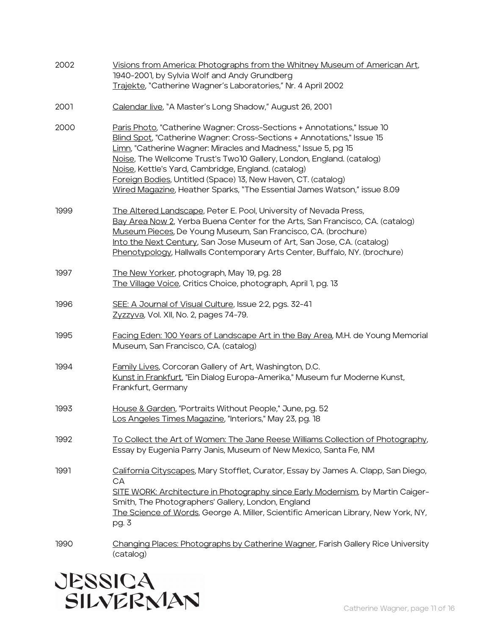| 2002 | Visions from America: Photographs from the Whitney Museum of American Art,<br>1940-2001, by Sylvia Wolf and Andy Grundberg<br>Trajekte, "Catherine Wagner's Laboratories," Nr. 4 April 2002                                                                                                                                                                                                                                                                                                       |
|------|---------------------------------------------------------------------------------------------------------------------------------------------------------------------------------------------------------------------------------------------------------------------------------------------------------------------------------------------------------------------------------------------------------------------------------------------------------------------------------------------------|
| 2001 | Calendar live, "A Master's Long Shadow," August 26, 2001                                                                                                                                                                                                                                                                                                                                                                                                                                          |
| 2000 | Paris Photo, "Catherine Wagner: Cross-Sections + Annotations," Issue 10<br>Blind Spot, "Catherine Wagner: Cross-Sections + Annotations," Issue 15<br>Limn, "Catherine Wagner: Miracles and Madness," Issue 5, pg 15<br>Noise, The Wellcome Trust's Two 10 Gallery, London, England. (catalog)<br>Noise, Kettle's Yard, Cambridge, England. (catalog)<br>Foreign Bodies, Untitled (Space) 13, New Haven, CT. (catalog)<br>Wired Magazine, Heather Sparks, "The Essential James Watson," issue 8.09 |
| 1999 | The Altered Landscape, Peter E. Pool, University of Nevada Press,<br>Bay Area Now 2, Yerba Buena Center for the Arts, San Francisco, CA. (catalog)<br>Museum Pieces, De Young Museum, San Francisco, CA. (brochure)<br>Into the Next Century, San Jose Museum of Art, San Jose, CA. (catalog)<br>Phenotypology, Hallwalls Contemporary Arts Center, Buffalo, NY. (brochure)                                                                                                                       |
| 1997 | The New Yorker, photograph, May 19, pg. 28<br>The Village Voice, Critics Choice, photograph, April 1, pg. 13                                                                                                                                                                                                                                                                                                                                                                                      |
| 1996 | SEE: A Journal of Visual Culture, Issue 2:2, pgs. 32-41<br>Zyzzyva, Vol. XII, No. 2, pages 74-79.                                                                                                                                                                                                                                                                                                                                                                                                 |
| 1995 | Facing Eden: 100 Years of Landscape Art in the Bay Area, M.H. de Young Memorial<br>Museum, San Francisco, CA. (catalog)                                                                                                                                                                                                                                                                                                                                                                           |
| 1994 | Family Lives, Corcoran Gallery of Art, Washington, D.C.<br>Kunst in Frankfurt, "Ein Dialog Europa-Amerika," Museum fur Moderne Kunst,<br>Frankfurt, Germany                                                                                                                                                                                                                                                                                                                                       |
| 1993 | House & Garden, "Portraits Without People," June, pg. 52<br>Los Angeles Times Magazine, "Interiors," May 23, pg. 18                                                                                                                                                                                                                                                                                                                                                                               |
| 1992 | To Collect the Art of Women: The Jane Reese Williams Collection of Photography,<br>Essay by Eugenia Parry Janis, Museum of New Mexico, Santa Fe, NM                                                                                                                                                                                                                                                                                                                                               |
| 1991 | California Cityscapes, Mary Stofflet, Curator, Essay by James A. Clapp, San Diego,<br>CA<br>SITE WORK: Architecture in Photography since Early Modernism, by Martin Caiger-<br>Smith, The Photographers' Gallery, London, England<br>The Science of Words, George A. Miller, Scientific American Library, New York, NY,<br>pg. 3                                                                                                                                                                  |
| 1990 | Changing Places: Photographs by Catherine Wagner, Farish Gallery Rice University<br>(catalog)                                                                                                                                                                                                                                                                                                                                                                                                     |

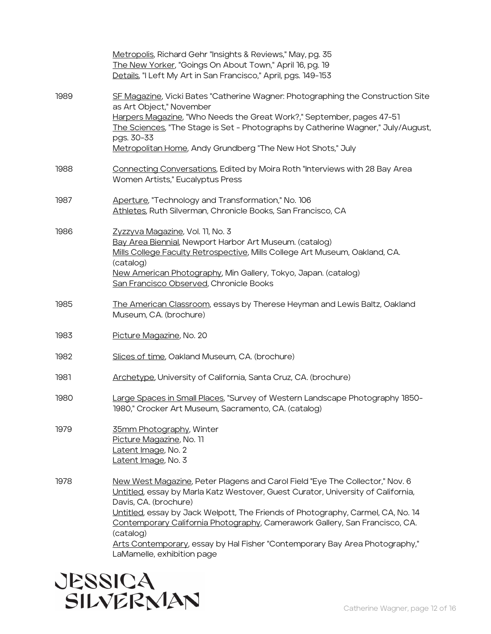|      | Metropolis, Richard Gehr "Insights & Reviews," May, pg. 35<br>The New Yorker, "Goings On About Town," April 16, pg. 19<br>Details, "I Left My Art in San Francisco," April, pgs. 149-153                                                                                                                                                                                                                                                                                              |
|------|---------------------------------------------------------------------------------------------------------------------------------------------------------------------------------------------------------------------------------------------------------------------------------------------------------------------------------------------------------------------------------------------------------------------------------------------------------------------------------------|
| 1989 | SF Magazine, Vicki Bates "Catherine Wagner: Photographing the Construction Site<br>as Art Object," November<br>Harpers Magazine, "Who Needs the Great Work?," September, pages 47-51<br>The Sciences, "The Stage is Set - Photographs by Catherine Wagner," July/August,<br>pgs. 30-33<br>Metropolitan Home, Andy Grundberg "The New Hot Shots," July                                                                                                                                 |
| 1988 | Connecting Conversations, Edited by Moira Roth "Interviews with 28 Bay Area<br>Women Artists," Eucalyptus Press                                                                                                                                                                                                                                                                                                                                                                       |
| 1987 | Aperture, "Technology and Transformation," No. 106<br>Athletes, Ruth Silverman, Chronicle Books, San Francisco, CA                                                                                                                                                                                                                                                                                                                                                                    |
| 1986 | Zyzzyva Magazine, Vol. 11, No. 3<br>Bay Area Biennial, Newport Harbor Art Museum. (catalog)<br>Mills College Faculty Retrospective, Mills College Art Museum, Oakland, CA.<br>(catalog)<br>New American Photography, Min Gallery, Tokyo, Japan. (catalog)<br>San Francisco Observed, Chronicle Books                                                                                                                                                                                  |
| 1985 | The American Classroom, essays by Therese Heyman and Lewis Baltz, Oakland<br>Museum, CA. (brochure)                                                                                                                                                                                                                                                                                                                                                                                   |
| 1983 | Picture Magazine, No. 20                                                                                                                                                                                                                                                                                                                                                                                                                                                              |
| 1982 | Slices of time, Oakland Museum, CA. (brochure)                                                                                                                                                                                                                                                                                                                                                                                                                                        |
| 1981 | Archetype, University of California, Santa Cruz, CA. (brochure)                                                                                                                                                                                                                                                                                                                                                                                                                       |
| 1980 | Large Spaces in Small Places, "Survey of Western Landscape Photography 1850-<br>1980," Crocker Art Museum, Sacramento, CA. (catalog)                                                                                                                                                                                                                                                                                                                                                  |
| 1979 | 35mm Photography, Winter<br>Picture Magazine, No. 11<br>Latent Image, No. 2<br>Latent Image, No. 3                                                                                                                                                                                                                                                                                                                                                                                    |
| 1978 | New West Magazine, Peter Plagens and Carol Field "Eye The Collector," Nov. 6<br>Untitled, essay by Marla Katz Westover, Guest Curator, University of California,<br>Davis, CA. (brochure)<br>Untitled, essay by Jack Welpott, The Friends of Photography, Carmel, CA, No. 14<br>Contemporary California Photography, Camerawork Gallery, San Francisco, CA.<br>(catalog)<br>Arts Contemporary, essay by Hal Fisher "Contemporary Bay Area Photography,"<br>LaMamelle, exhibition page |

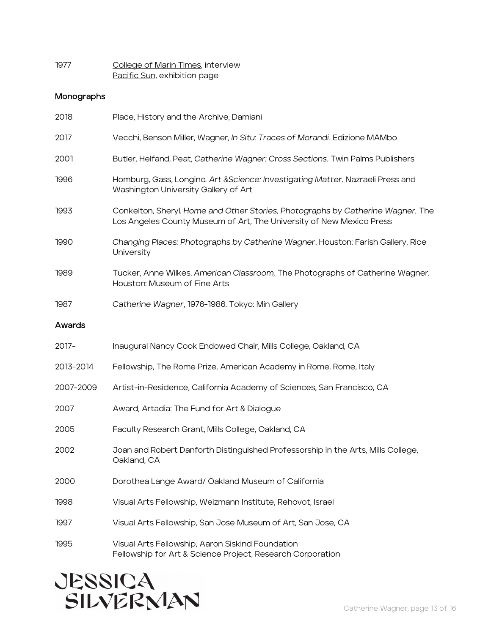| 1977 | College of Marin Times, interview |
|------|-----------------------------------|
|      | Pacific Sun, exhibition page      |

## Monographs

| 2018      | Place, History and the Archive, Damiani                                                                                                                 |
|-----------|---------------------------------------------------------------------------------------------------------------------------------------------------------|
| 2017      | Vecchi, Benson Miller, Wagner, In Situ: Traces of Morandi. Edizione MAMbo                                                                               |
| 2001      | Butler, Helfand, Peat, Catherine Wagner: Cross Sections. Twin Palms Publishers                                                                          |
| 1996      | Homburg, Gass, Longino. Art & Science: Investigating Matter. Nazraeli Press and<br>Washington University Gallery of Art                                 |
| 1993      | Conkelton, Sheryl. Home and Other Stories, Photographs by Catherine Wagner. The<br>Los Angeles County Museum of Art, The University of New Mexico Press |
| 1990      | Changing Places: Photographs by Catherine Wagner. Houston: Farish Gallery, Rice<br>University                                                           |
| 1989      | Tucker, Anne Wilkes. American Classroom, The Photographs of Catherine Wagner.<br>Houston: Museum of Fine Arts                                           |
| 1987      | Catherine Wagner, 1976-1986. Tokyo: Min Gallery                                                                                                         |
| Awards    |                                                                                                                                                         |
| 2017-     | Inaugural Nancy Cook Endowed Chair, Mills College, Oakland, CA                                                                                          |
| 2013-2014 | Fellowship, The Rome Prize, American Academy in Rome, Rome, Italy                                                                                       |
| 2007-2009 | Artist-in-Residence, California Academy of Sciences, San Francisco, CA                                                                                  |
| 2007      | Award, Artadia: The Fund for Art & Dialogue                                                                                                             |
| 2005      | Faculty Research Grant, Mills College, Oakland, CA                                                                                                      |
| 2002      | Joan and Robert Danforth Distinguished Professorship in the Arts, Mills College,<br>Oakland, CA                                                         |
| 2000      | Dorothea Lange Award/ Oakland Museum of California                                                                                                      |
| 1998      | Visual Arts Fellowship, Weizmann Institute, Rehovot, Israel                                                                                             |
| 1997      | Visual Arts Fellowship, San Jose Museum of Art, San Jose, CA                                                                                            |
| 1995      | Visual Arts Fellowship, Aaron Siskind Foundation<br>Fellowship for Art & Science Project, Research Corporation                                          |

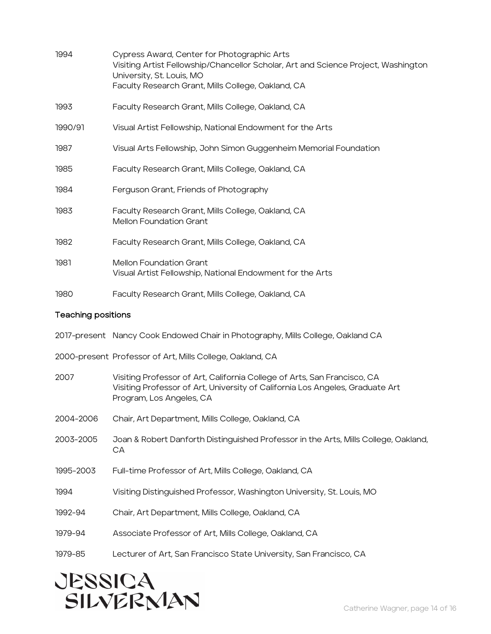| 1994                                                      | Cypress Award, Center for Photographic Arts<br>Visiting Artist Fellowship/Chancellor Scholar, Art and Science Project, Washington<br>University, St. Louis, MO<br>Faculty Research Grant, Mills College, Oakland, CA |
|-----------------------------------------------------------|----------------------------------------------------------------------------------------------------------------------------------------------------------------------------------------------------------------------|
| 1993                                                      | Faculty Research Grant, Mills College, Oakland, CA                                                                                                                                                                   |
| 1990/91                                                   | Visual Artist Fellowship, National Endowment for the Arts                                                                                                                                                            |
| 1987                                                      | Visual Arts Fellowship, John Simon Guggenheim Memorial Foundation                                                                                                                                                    |
| 1985                                                      | Faculty Research Grant, Mills College, Oakland, CA                                                                                                                                                                   |
| 1984                                                      | Ferguson Grant, Friends of Photography                                                                                                                                                                               |
| 1983                                                      | Faculty Research Grant, Mills College, Oakland, CA<br><b>Mellon Foundation Grant</b>                                                                                                                                 |
| 1982                                                      | Faculty Research Grant, Mills College, Oakland, CA                                                                                                                                                                   |
| 1981                                                      | <b>Mellon Foundation Grant</b><br>Visual Artist Fellowship, National Endowment for the Arts                                                                                                                          |
| 1980                                                      | Faculty Research Grant, Mills College, Oakland, CA                                                                                                                                                                   |
| <b>Teaching positions</b>                                 |                                                                                                                                                                                                                      |
|                                                           | 2017-present Nancy Cook Endowed Chair in Photography, Mills College, Oakland CA                                                                                                                                      |
| 2000-present Professor of Art, Mills College, Oakland, CA |                                                                                                                                                                                                                      |
| 2007                                                      | Visiting Professor of Art, California College of Arts, San Francisco, CA<br>Visiting Professor of Art, University of California Los Angeles, Graduate Art<br>Program, Los Angeles, CA                                |
| 2004-2006                                                 | Chair, Art Department, Mills College, Oakland, CA                                                                                                                                                                    |
| 2003-2005                                                 | Joan & Robert Danforth Distinguished Professor in the Arts, Mills College, Oakland,<br>CA                                                                                                                            |
| 1995-2003                                                 | Full-time Professor of Art, Mills College, Oakland, CA                                                                                                                                                               |
| 1994                                                      | Visiting Distinguished Professor, Washington University, St. Louis, MO                                                                                                                                               |
| 1992-94                                                   | Chair, Art Department, Mills College, Oakland, CA                                                                                                                                                                    |
| 1979-94                                                   | Associate Professor of Art, Mills College, Oakland, CA                                                                                                                                                               |
| 1979-85                                                   | Lecturer of Art, San Francisco State University, San Francisco, CA                                                                                                                                                   |

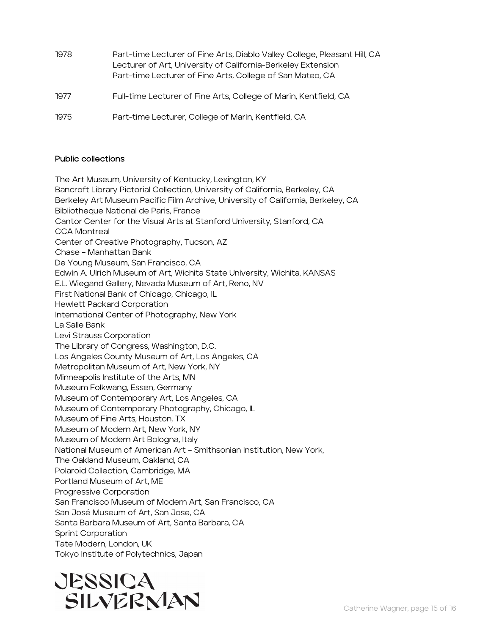- 1978 Part-time Lecturer of Fine Arts, Diablo Valley College, Pleasant Hill, CA Lecturer of Art, University of California-Berkeley Extension Part-time Lecturer of Fine Arts, College of San Mateo, CA
- 1977 Full-time Lecturer of Fine Arts, College of Marin, Kentfield, CA
- 1975 Part-time Lecturer, College of Marin, Kentfield, CA

#### Public collections

The Art Museum, University of Kentucky, Lexington, KY Bancroft Library Pictorial Collection, University of California, Berkeley, CA Berkeley Art Museum Pacific Film Archive, University of California, Berkeley, CA Bibliotheque National de Paris, France Cantor Center for the Visual Arts at Stanford University, Stanford, CA CCA Montreal Center of Creative Photography, Tucson, AZ Chase – Manhattan Bank De Young Museum, San Francisco, CA Edwin A. Ulrich Museum of Art, Wichita State University, Wichita, KANSAS E.L. Wiegand Gallery, Nevada Museum of Art, Reno, NV First National Bank of Chicago, Chicago, IL Hewlett Packard Corporation International Center of Photography, New York La Salle Bank Levi Strauss Corporation The Library of Congress, Washington, D.C. Los Angeles County Museum of Art, Los Angeles, CA Metropolitan Museum of Art, New York, NY Minneapolis Institute of the Arts, MN Museum Folkwang, Essen, Germany Museum of Contemporary Art, Los Angeles, CA Museum of Contemporary Photography, Chicago, IL Museum of Fine Arts, Houston, TX Museum of Modern Art, New York, NY Museum of Modern Art Bologna, Italy National Museum of American Art – Smithsonian Institution, New York, The Oakland Museum, Oakland, CA Polaroid Collection, Cambridge, MA Portland Museum of Art, ME Progressive Corporation San Francisco Museum of Modern Art, San Francisco, CA San José Museum of Art, San Jose, CA Santa Barbara Museum of Art, Santa Barbara, CA Sprint Corporation Tate Modern, London, UK Tokyo Institute of Polytechnics, Japan